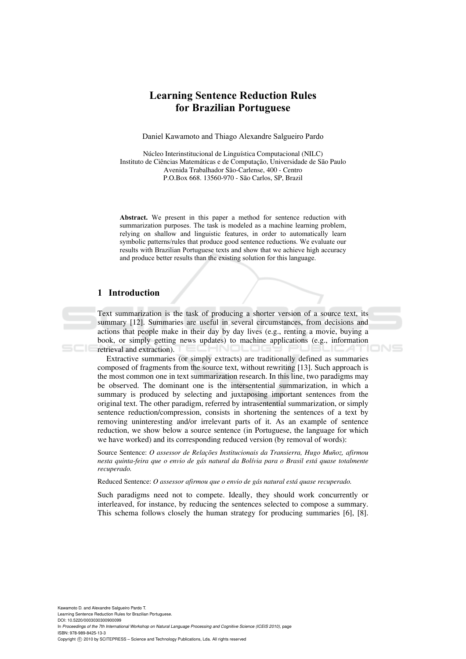# **Learning Sentence Reduction Rules for Brazilian Portuguese**

Daniel Kawamoto and Thiago Alexandre Salgueiro Pardo

Núcleo Interinstitucional de Linguística Computacional (NILC) Instituto de Ciências Matemáticas e de Computação, Universidade de São Paulo Avenida Trabalhador São-Carlense, 400 - Centro P.O.Box 668. 13560-970 - São Carlos, SP, Brazil

**Abstract.** We present in this paper a method for sentence reduction with summarization purposes. The task is modeled as a machine learning problem, relying on shallow and linguistic features, in order to automatically learn symbolic patterns/rules that produce good sentence reductions. We evaluate our results with Brazilian Portuguese texts and show that we achieve high accuracy and produce better results than the existing solution for this language.

# **1 Introduction**

Text summarization is the task of producing a shorter version of a source text, its summary [12]. Summaries are useful in several circumstances, from decisions and actions that people make in their day by day lives (e.g., renting a movie, buying a book, or simply getting news updates) to machine applications (e.g., information retrieval and extraction).

Extractive summaries (or simply extracts) are traditionally defined as summaries composed of fragments from the source text, without rewriting [13]. Such approach is the most common one in text summarization research. In this line, two paradigms may be observed. The dominant one is the intersentential summarization, in which a summary is produced by selecting and juxtaposing important sentences from the original text. The other paradigm, referred by intrasentential summarization, or simply sentence reduction/compression, consists in shortening the sentences of a text by removing uninteresting and/or irrelevant parts of it. As an example of sentence reduction, we show below a source sentence (in Portuguese, the language for which we have worked) and its corresponding reduced version (by removal of words):

Source Sentence: *O assessor de Relações Institucionais da Transierra, Hugo Muñoz, afirmou nesta quinta-feira que o envio de gás natural da Bolívia para o Brasil está quase totalmente recuperado.*

Reduced Sentence: *O assessor afirmou que o envio de gás natural está quase recuperado.* 

Such paradigms need not to compete. Ideally, they should work concurrently or interleaved, for instance, by reducing the sentences selected to compose a summary. This schema follows closely the human strategy for producing summaries [6], [8].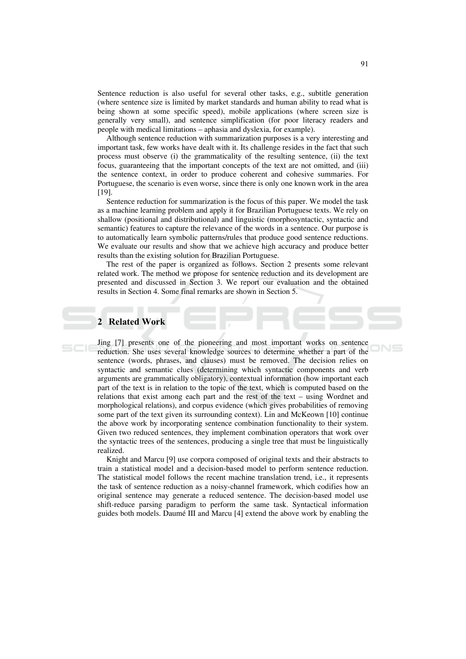Sentence reduction is also useful for several other tasks, e.g., subtitle generation (where sentence size is limited by market standards and human ability to read what is being shown at some specific speed), mobile applications (where screen size is generally very small), and sentence simplification (for poor literacy readers and people with medical limitations – aphasia and dyslexia, for example).

Although sentence reduction with summarization purposes is a very interesting and important task, few works have dealt with it. Its challenge resides in the fact that such process must observe (i) the grammaticality of the resulting sentence, (ii) the text focus, guaranteeing that the important concepts of the text are not omitted, and (iii) the sentence context, in order to produce coherent and cohesive summaries. For Portuguese, the scenario is even worse, since there is only one known work in the area  $[19]$ .

Sentence reduction for summarization is the focus of this paper. We model the task as a machine learning problem and apply it for Brazilian Portuguese texts. We rely on shallow (positional and distributional) and linguistic (morphosyntactic, syntactic and semantic) features to capture the relevance of the words in a sentence. Our purpose is to automatically learn symbolic patterns/rules that produce good sentence reductions. We evaluate our results and show that we achieve high accuracy and produce better results than the existing solution for Brazilian Portuguese.

The rest of the paper is organized as follows. Section 2 presents some relevant related work. The method we propose for sentence reduction and its development are presented and discussed in Section 3. We report our evaluation and the obtained results in Section 4. Some final remarks are shown in Section 5.

# 2 Related Work

Jing [7] presents one of the pioneering and most important works on sentence reduction. She uses several knowledge sources to determine whether a part of the sentence (words, phrases, and clauses) must be removed. The decision relies on syntactic and semantic clues (determining which syntactic components and verb arguments are grammatically obligatory), contextual information (how important each part of the text is in relation to the topic of the text, which is computed based on the relations that exist among each part and the rest of the text – using Wordnet and morphological relations), and corpus evidence (which gives probabilities of removing some part of the text given its surrounding context). Lin and McKeown [10] continue the above work by incorporating sentence combination functionality to their system. Given two reduced sentences, they implement combination operators that work over the syntactic trees of the sentences, producing a single tree that must be linguistically realized.

Knight and Marcu [9] use corpora composed of original texts and their abstracts to train a statistical model and a decision-based model to perform sentence reduction. The statistical model follows the recent machine translation trend, i.e., it represents the task of sentence reduction as a noisy-channel framework, which codifies how an original sentence may generate a reduced sentence. The decision-based model use shift-reduce parsing paradigm to perform the same task. Syntactical information guides both models. Daumé III and Marcu [4] extend the above work by enabling the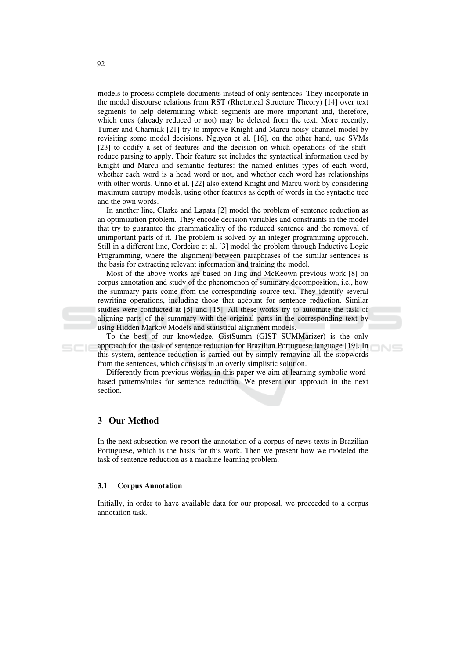models to process complete documents instead of only sentences. They incorporate in the model discourse relations from RST (Rhetorical Structure Theory) [14] over text segments to help determining which segments are more important and, therefore, which ones (already reduced or not) may be deleted from the text. More recently, Turner and Charniak [21] try to improve Knight and Marcu noisy-channel model by revisiting some model decisions. Nguyen et al. [16], on the other hand, use SVMs [23] to codify a set of features and the decision on which operations of the shiftreduce parsing to apply. Their feature set includes the syntactical information used by Knight and Marcu and semantic features: the named entities types of each word, whether each word is a head word or not, and whether each word has relationships with other words. Unno et al. [22] also extend Knight and Marcu work by considering maximum entropy models, using other features as depth of words in the syntactic tree and the own words.

In another line, Clarke and Lapata [2] model the problem of sentence reduction as an optimization problem. They encode decision variables and constraints in the model that try to guarantee the grammaticality of the reduced sentence and the removal of unimportant parts of it. The problem is solved by an integer programming approach. Still in a different line, Cordeiro et al. [3] model the problem through Inductive Logic Programming, where the alignment between paraphrases of the similar sentences is the basis for extracting relevant information and training the model.

Most of the above works are based on Jing and McKeown previous work [8] on corpus annotation and study of the phenomenon of summary decomposition, i.e., how the summary parts come from the corresponding source text. They identify several rewriting operations, including those that account for sentence reduction. Similar studies were conducted at [5] and [15]. All these works try to automate the task of aligning parts of the summary with the original parts in the corresponding text by using Hidden Markov Models and statistical alignment models.

To the best of our knowledge, GistSumm (GIST SUMMarizer) is the only approach for the task of sentence reduction for Brazilian Portuguese language [19]. In this system, sentence reduction is carried out by simply removing all the stopwords from the sentences, which consists in an overly simplistic solution.

ONS

Differently from previous works, in this paper we aim at learning symbolic wordbased patterns/rules for sentence reduction. We present our approach in the next section.

## 3 Our Method

 $5C$ 

In the next subsection we report the annotation of a corpus of news texts in Brazilian Portuguese, which is the basis for this work. Then we present how we modeled the task of sentence reduction as a machine learning problem.

#### $3.1$ **Corpus Annotation**

Initially, in order to have available data for our proposal, we proceeded to a corpus annotation task.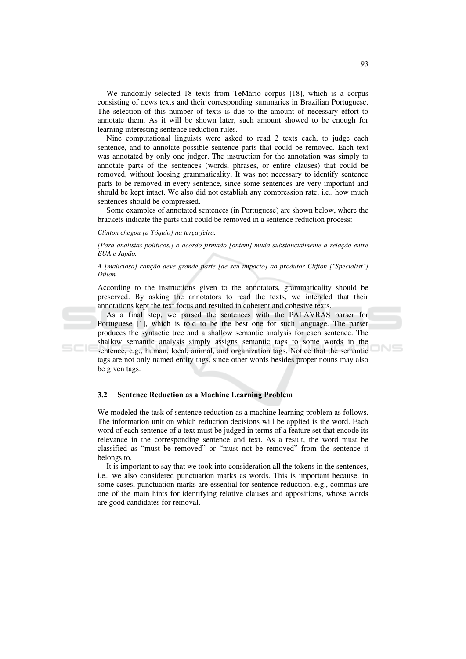We randomly selected 18 texts from TeMário corpus [18], which is a corpus consisting of news texts and their corresponding summaries in Brazilian Portuguese. The selection of this number of texts is due to the amount of necessary effort to annotate them. As it will be shown later, such amount showed to be enough for learning interesting sentence reduction rules.

Nine computational linguists were asked to read 2 texts each, to judge each sentence, and to annotate possible sentence parts that could be removed. Each text was annotated by only one judger. The instruction for the annotation was simply to annotate parts of the sentences (words, phrases, or entire clauses) that could be removed, without loosing grammaticality. It was not necessary to identify sentence parts to be removed in every sentence, since some sentences are very important and should be kept intact. We also did not establish any compression rate, i.e., how much sentences should be compressed.

Some examples of annotated sentences (in Portuguese) are shown below, where the brackets indicate the parts that could be removed in a sentence reduction process:

#### Clinton chegou [a Tóquio] na terça-feira.

[Para analistas políticos,] o acordo firmado [ontem] muda substancialmente a relação entre EUA e Japão.

### A [maliciosa] canção deve grande parte [de seu impacto] ao produtor Clifton ["Specialist"] Dillon.

According to the instructions given to the annotators, grammaticality should be preserved. By asking the annotators to read the texts, we intended that their annotations kept the text focus and resulted in coherent and cohesive texts.

As a final step, we parsed the sentences with the PALAVRAS parser for Portuguese [1], which is told to be the best one for such language. The parser produces the syntactic tree and a shallow semantic analysis for each sentence. The shallow semantic analysis simply assigns semantic tags to some words in the sentence, e.g., human, local, animal, and organization tags. Notice that the semantic tags are not only named entity tags, since other words besides proper nouns may also be given tags.

#### $3.2$ **Sentence Reduction as a Machine Learning Problem**

We modeled the task of sentence reduction as a machine learning problem as follows. The information unit on which reduction decisions will be applied is the word. Each word of each sentence of a text must be judged in terms of a feature set that encode its relevance in the corresponding sentence and text. As a result, the word must be classified as "must be removed" or "must not be removed" from the sentence it belongs to.

It is important to say that we took into consideration all the tokens in the sentences, i.e., we also considered punctuation marks as words. This is important because, in some cases, punctuation marks are essential for sentence reduction, e.g., commas are one of the main hints for identifying relative clauses and appositions, whose words are good candidates for removal.

**JNS**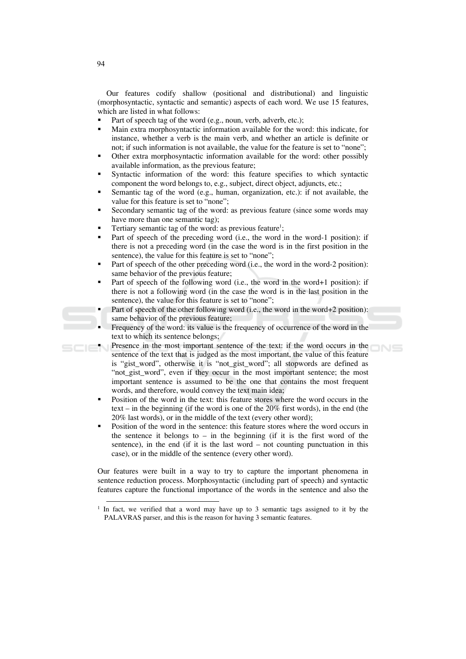Our features codify shallow (positional and distributional) and linguistic (morphosyntactic, syntactic and semantic) aspects of each word. We use 15 features, which are listed in what follows:

- Part of speech tag of the word (e.g., noun, verb, adverb, etc.);
- Main extra morphosyntactic information available for the word: this indicate, for instance, whether a verb is the main verb, and whether an article is definite or not; if such information is not available, the value for the feature is set to "none";
- Other extra morphosyntactic information available for the word: other possibly available information, as the previous feature;
- Syntactic information of the word: this feature specifies to which syntactic component the word belongs to, e.g., subject, direct object, adjuncts, etc.;
- Semantic tag of the word (e.g., human, organization, etc.): if not available, the value for this feature is set to "none";
- Secondary semantic tag of the word: as previous feature (since some words may have more than one semantic tag):
- Tertiary semantic tag of the word: as previous feature<sup>1</sup>;
- Part of speech of the preceding word (i.e., the word in the word-1 position): if there is not a preceding word (in the case the word is in the first position in the sentence), the value for this feature is set to "none";
- Part of speech of the other preceding word (i.e., the word in the word-2 position): same behavior of the previous feature;
- Part of speech of the following word (i.e., the word in the word+1 position): if there is not a following word (in the case the word is in the last position in the sentence), the value for this feature is set to "none":
- Part of speech of the other following word (i.e., the word in the word+2 position): same behavior of the previous feature;
- Frequency of the word: its value is the frequency of occurrence of the word in the text to which its sentence belongs;
- Presence in the most important sentence of the text: if the word occurs in the SCIEN sentence of the text that is judged as the most important, the value of this feature is "gist\_word", otherwise it is "not\_gist\_word"; all stopwords are defined as "not\_gist\_word", even if they occur in the most important sentence; the most important sentence is assumed to be the one that contains the most frequent words, and therefore, would convey the text main idea;
	- Position of the word in the text: this feature stores where the word occurs in the text – in the beginning (if the word is one of the  $20\%$  first words), in the end (the 20% last words), or in the middle of the text (every other word):
	- Position of the word in the sentence: this feature stores where the word occurs in the sentence it belongs to  $-$  in the beginning (if it is the first word of the sentence), in the end (if it is the last word  $-$  not counting punctuation in this case), or in the middle of the sentence (every other word).

Our features were built in a way to try to capture the important phenomena in sentence reduction process. Morphosyntactic (including part of speech) and syntactic features capture the functional importance of the words in the sentence and also the

 $1$  In fact, we verified that a word may have up to 3 semantic tags assigned to it by the PALAVRAS parser, and this is the reason for having 3 semantic features.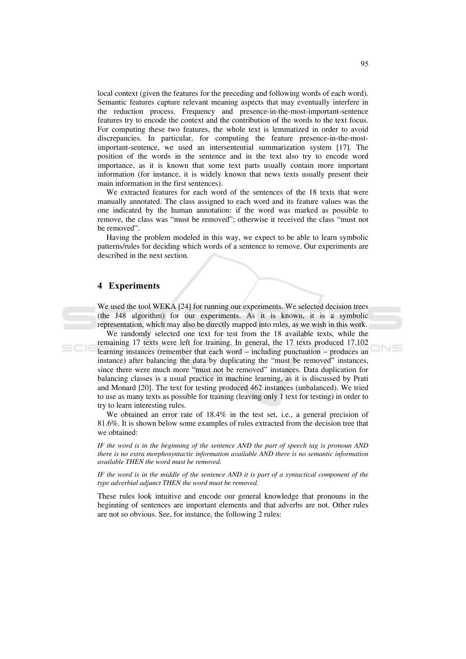local context (given the features for the preceding and following words of each word). Semantic features capture relevant meaning aspects that may eventually interfere in the reduction process. Frequency and presence-in-the-most-important-sentence features try to encode the context and the contribution of the words to the text focus. For computing these two features, the whole text is lemmatized in order to avoid discrepancies. In particular, for computing the feature presence-in-the-mostimportant-sentence, we used an intersentential summarization system [17]. The position of the words in the sentence and in the text also try to encode word importance, as it is known that some text parts usually contain more important information (for instance, it is widely known that news texts usually present their main information in the first sentences).

We extracted features for each word of the sentences of the 18 texts that were manually annotated. The class assigned to each word and its feature values was the one indicated by the human annotation: if the word was marked as possible to remove, the class was "must be removed"; otherwise it received the class "must not be removed".

Having the problem modeled in this way, we expect to be able to learn symbolic patterns/rules for deciding which words of a sentence to remove. Our experiments are described in the next section.

### 4 Experiments

We used the tool WEKA [24] for running our experiments. We selected decision trees (the J48 algorithm) for our experiments. As it is known, it is a symbolic representation, which may also be directly mapped into rules, as we wish in this work.

We randomly selected one text for test from the 18 available texts, while the remaining 17 texts were left for training. In general, the 17 texts produced 17.102 learning instances (remember that each word – including punctuation – produces an instance) after balancing the data by duplicating the "must be removed" instances, since there were much more "must not be removed" instances. Data duplication for balancing classes is a usual practice in machine learning, as it is discussed by Prati and Monard [20]. The text for testing produced 462 instances (unbalanced). We tried to use as many texts as possible for training (leaving only 1 text for testing) in order to try to learn interesting rules.

We obtained an error rate of 18.4% in the test set, i.e., a general precision of 81.6%. It is shown below some examples of rules extracted from the decision tree that we obtained:

IF the word is in the beginning of the sentence AND the part of speech tag is pronoun AND there is no extra morphosyntactic information available AND there is no semantic information available THEN the word must be removed.

IF the word is in the middle of the sentence AND it is part of a syntactical component of the type adverbial adjunct THEN the word must be removed.

These rules look intuitive and encode our general knowledge that pronouns in the beginning of sentences are important elements and that adverbs are not. Other rules are not so obvious. See, for instance, the following 2 rules: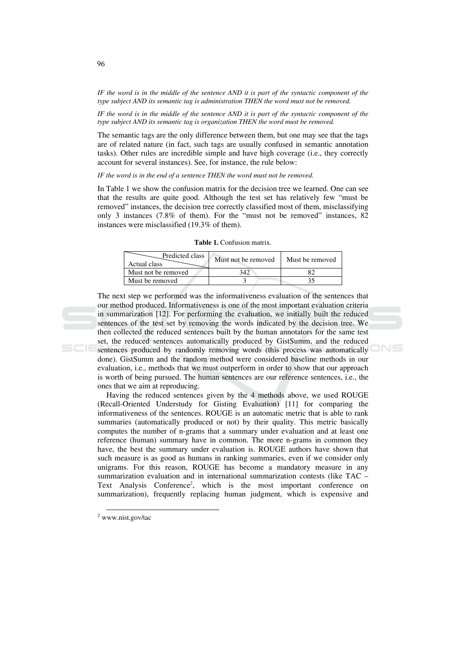IF the word is in the middle of the sentence AND it is part of the syntactic component of the type subject AND its semantic tag is administration THEN the word must not be removed.

IF the word is in the middle of the sentence AND it is part of the syntactic component of the type subject AND its semantic tag is organization THEN the word must be removed.

The semantic tags are the only difference between them, but one may see that the tags are of related nature (in fact, such tags are usually confused in semantic annotation tasks). Other rules are incredible simple and have high coverage (i.e., they correctly account for several instances). See, for instance, the rule below:

IF the word is in the end of a sentence THEN the word must not be removed.

In Table 1 we show the confusion matrix for the decision tree we learned. One can see that the results are quite good. Although the test set has relatively few "must be removed" instances, the decision tree correctly classified most of them, misclassifying only 3 instances (7.8% of them). For the "must not be removed" instances, 82 instances were misclassified (19.3% of them).

Table 1. Confusion matrix.

| Predicted class<br>Actual class | Must not be removed | Must be removed |
|---------------------------------|---------------------|-----------------|
| Must not be removed             |                     |                 |
| Must be removed                 |                     |                 |

The next step we performed was the informativeness evaluation of the sentences that our method produced. Informativeness is one of the most important evaluation criteria in summarization [12]. For performing the evaluation, we initially built the reduced sentences of the test set by removing the words indicated by the decision tree. We then collected the reduced sentences built by the human annotators for the same test set, the reduced sentences automatically produced by GistSumm, and the reduced sentences produced by randomly removing words (this process was automatically done). GistSumm and the random method were considered baseline methods in our evaluation, i.e., methods that we must outperform in order to show that our approach is worth of being pursued. The human sentences are our reference sentences, i.e., the ones that we aim at reproducing.

Having the reduced sentences given by the 4 methods above, we used ROUGE (Recall-Oriented Understudy for Gisting Evaluation) [11] for comparing the informativeness of the sentences. ROUGE is an automatic metric that is able to rank summaries (automatically produced or not) by their quality. This metric basically computes the number of n-grams that a summary under evaluation and at least one reference (human) summary have in common. The more n-grams in common they have, the best the summary under evaluation is. ROUGE authors have shown that such measure is as good as humans in ranking summaries, even if we consider only unigrams. For this reason, ROUGE has become a mandatory measure in any summarization evaluation and in international summarization contests (like TAC – Text Analysis Conference<sup>2</sup>, which is the most important conference on summarization), frequently replacing human judgment, which is expensive and

96

 $2$  www.nist.gov/tac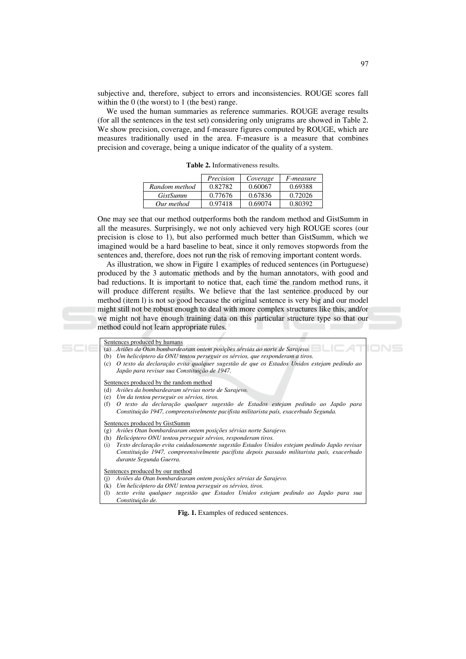subjective and, therefore, subject to errors and inconsistencies. ROUGE scores fall within the  $0$  (the worst) to 1 (the best) range.

We used the human summaries as reference summaries. ROUGE average results (for all the sentences in the test set) considering only unigrams are showed in Table 2. We show precision, coverage, and f-measure figures computed by ROUGE, which are measures traditionally used in the area. F-measure is a measure that combines precision and coverage, being a unique indicator of the quality of a system.

Table 2. Informativeness results.

|                 | Precision | Coverage | <i>F-measure</i> |
|-----------------|-----------|----------|------------------|
| Random method   | 0.82782   | 0.60067  | 0.69388          |
| <i>GistSumm</i> | 0.77676   | 0.67836  | 0.72026          |
| Our method      | 0.97418   | 0.69074  | 0.80392          |

One may see that our method outperforms both the random method and GistSumm in all the measures. Surprisingly, we not only achieved very high ROUGE scores (our precision is close to 1), but also performed much better than GistSumm, which we imagined would be a hard baseline to beat, since it only removes stopwords from the sentences and, therefore, does not run the risk of removing important content words.

As illustration, we show in Figure 1 examples of reduced sentences (in Portuguese) produced by the 3 automatic methods and by the human annotators, with good and bad reductions. It is important to notice that, each time the random method runs, it will produce different results. We believe that the last sentence produced by our method (item I) is not so good because the original sentence is very big and our model might still not be robust enough to deal with more complex structures like this, and/or we might not have enough training data on this particular structure type so that our method could not learn appropriate rules.

| Sentences produced by humans<br>Aviões da Otan bombardearam ontem posições sérvias ao norte de Sarajevo.<br>(a)<br>Um helicóptero da ONU tentou perseguir os sérvios, que responderam a tiros.<br>(b)<br>O texto da declaração evita qualquer sugestão de que os Estados Unidos estejam pedindo ao<br>(c)<br>Japão para revisar sua Constituição de 1947.                                                       |  |
|-----------------------------------------------------------------------------------------------------------------------------------------------------------------------------------------------------------------------------------------------------------------------------------------------------------------------------------------------------------------------------------------------------------------|--|
| Sentences produced by the random method<br>Aviões da bombardearam sérvias norte de Sarajevo.<br>(d)<br>Um da tentou perseguir os sérvios, tiros.<br>(e)<br>O texto da declaração qualquer sugestão de Estados estejam pedindo ao Japão para<br>(f)<br>Constituição 1947, compreensivelmente pacifista militarista país, exacerbado Segunda.                                                                     |  |
| Sentences produced by GistSumm<br>Aviões Otan bombardearam ontem posições sérvias norte Sarajevo.<br>(g)<br>Helicóptero ONU tentou perseguir sérvios, responderam tiros.<br>(h)<br>Texto declaração evita cuidadosamente sugestão Estados Unidos estejam pedindo Japão revisar<br>(i)<br>Constituição 1947, compreensivelmente pacifista depois passado militarista país, exacerbado<br>durante Segunda Guerra. |  |
| Sentences produced by our method<br>Aviões da Otan bombardearam ontem posições sérvias de Sarajevo.<br>(i)<br>Um helicóptero da ONU tentou perseguir os sérvios, tiros.<br>(k)<br>(1)<br>texto evita qualquer sugestão que Estados Unidos estejam pedindo ao Japão para sua<br>Constituição de.                                                                                                                 |  |

Fig. 1. Examples of reduced sentences.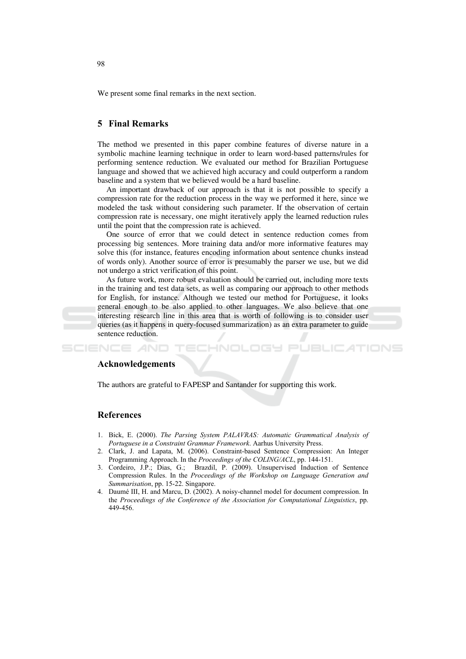We present some final remarks in the next section.

# **5** Final Remarks

The method we presented in this paper combine features of diverse nature in a symbolic machine learning technique in order to learn word-based patterns/rules for performing sentence reduction. We evaluated our method for Brazilian Portuguese language and showed that we achieved high accuracy and could outperform a random baseline and a system that we believed would be a hard baseline.

An important drawback of our approach is that it is not possible to specify a compression rate for the reduction process in the way we performed it here, since we modeled the task without considering such parameter. If the observation of certain compression rate is necessary, one might iteratively apply the learned reduction rules until the point that the compression rate is achieved.

One source of error that we could detect in sentence reduction comes from processing big sentences. More training data and/or more informative features may solve this (for instance, features encoding information about sentence chunks instead of words only). Another source of error is presumably the parser we use, but we did not undergo a strict verification of this point.

As future work, more robust evaluation should be carried out, including more texts in the training and test data sets, as well as comparing our approach to other methods for English, for instance. Although we tested our method for Portuguese, it looks general enough to be also applied to other languages. We also believe that one interesting research line in this area that is worth of following is to consider user queries (as it happens in query-focused summarization) as an extra parameter to guide sentence reduction.

oce

ATIONS

#### Acknowledgements

The authors are grateful to FAPESP and Santander for supporting this work.

### **References**

**SCIENCE AND** 

- 1. Bick, E. (2000). The Parsing System PALAVRAS: Automatic Grammatical Analysis of Portuguese in a Constraint Grammar Framework. Aarhus University Press.
- 2. Clark, J. and Lapata, M. (2006). Constraint-based Sentence Compression: An Integer Programming Approach. In the Proceedings of the COLING/ACL, pp. 144-151.
- 3. Cordeiro, J.P.; Dias, G.; Brazdil, P. (2009). Unsupervised Induction of Sentence Compression Rules. In the Proceedings of the Workshop on Language Generation and Summarisation, pp. 15-22. Singapore.
- 4. Daumé III, H. and Marcu, D. (2002). A noisy-channel model for document compression. In the Proceedings of the Conference of the Association for Computational Linguistics, pp. 449-456.